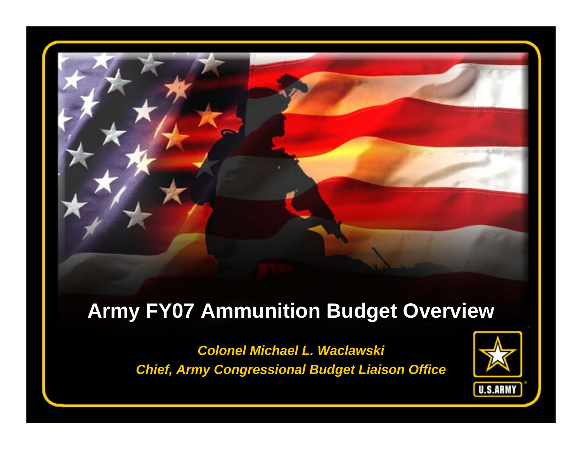

#### **Army FY07 Ammunition Budget Overview**

*Colonel Michael L. Waclawski Chief, Army Congressional Budget Liaison Office*

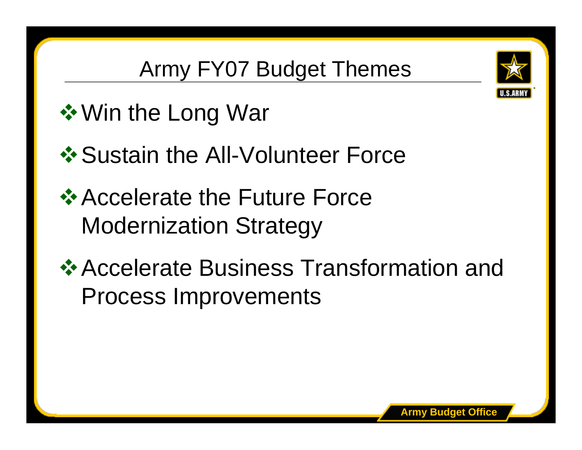

# Army FY07 Budget Themes

- **❖ Win the Long War**
- ❖ Sustain the All-Volunteer Force
- **Example 25 Accelerate the Future Force** Modernization Strategy
- **Example Accelerate Business Transformation and** Process Improvements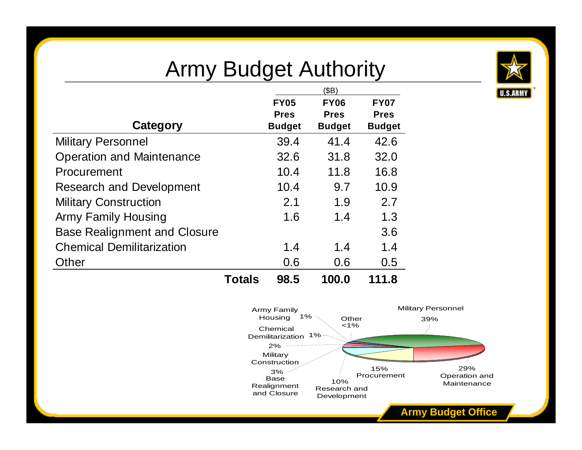## Army Budget Authority



|                                     |               | (SB)          |               |               |
|-------------------------------------|---------------|---------------|---------------|---------------|
|                                     |               | <b>FY05</b>   | <b>FY06</b>   | <b>FY07</b>   |
|                                     |               | <b>Pres</b>   | <b>Pres</b>   | <b>Pres</b>   |
| Category                            |               | <b>Budget</b> | <b>Budget</b> | <b>Budget</b> |
| <b>Military Personnel</b>           |               | 39.4          | 41.4          | 42.6          |
| <b>Operation and Maintenance</b>    |               | 32.6          | 31.8          | 32.0          |
| Procurement                         |               | 10.4          | 11.8          | 16.8          |
| <b>Research and Development</b>     |               | 10.4          | 9.7           | 10.9          |
| <b>Military Construction</b>        |               | 2.1           | 1.9           | 2.7           |
| <b>Army Family Housing</b>          |               | 1.6           | 1.4           | 1.3           |
| <b>Base Realignment and Closure</b> |               |               |               | 3.6           |
| <b>Chemical Demilitarization</b>    |               | 1.4           | 1.4           | 1.4           |
| Other                               |               | 0.6           | 0.6           | 0.5           |
|                                     | <b>Totals</b> | 98.5          | 100.0         | 111.8         |

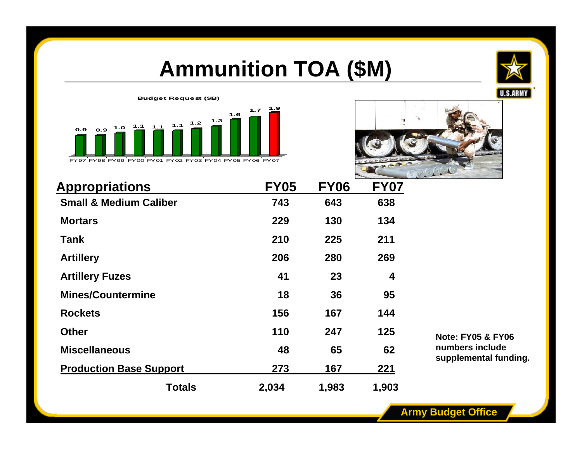## **Ammunition TOA (\$M)**







| <b>Appropriations</b>             | <b>FY05</b> | <b>FY06</b> | <b>FY07</b> |
|-----------------------------------|-------------|-------------|-------------|
| <b>Small &amp; Medium Caliber</b> | 743         | 643         | 638         |
| <b>Mortars</b>                    | 229         | 130         | 134         |
| Tank                              | 210         | 225         | 211         |
| <b>Artillery</b>                  | 206         | 280         | 269         |
| <b>Artillery Fuzes</b>            | 41          | 23          | 4           |
| <b>Mines/Countermine</b>          | 18          | 36          | 95          |
| <b>Rockets</b>                    | 156         | 167         | 144         |
| <b>Other</b>                      | 110         | 247         | 125         |
| <b>Miscellaneous</b>              | 48          | 65          | 62          |
| <b>Production Base Support</b>    | 273         | 167         | 221         |
| <b>Totals</b>                     | 2,034       | 1,983       | 1,903       |

**Note: FY05 & FY06 numbers include s upplemental funding.**

**Army Budget Office**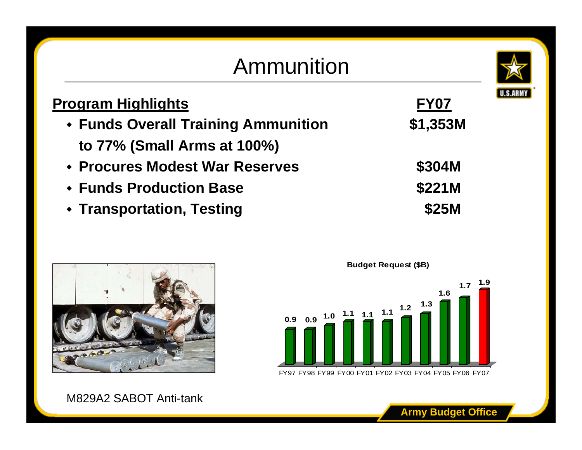### Ammunition



| <u>Program Highlights</u>                  | <b>FY07</b> |
|--------------------------------------------|-------------|
| <b>• Funds Overall Training Ammunition</b> | \$1,353M    |
| to 77% (Small Arms at 100%)                |             |
| • Procures Modest War Reserves             | \$304M      |
| ◆ Funds Production Base                    | \$221M      |
| ◆ Transportation, Testing                  | \$25M       |



M829A2 SABOT Anti-tank



FY97 FY98 FY99 FY00 FY01 FY02 FY03 FY04 FY05 FY06 FY07